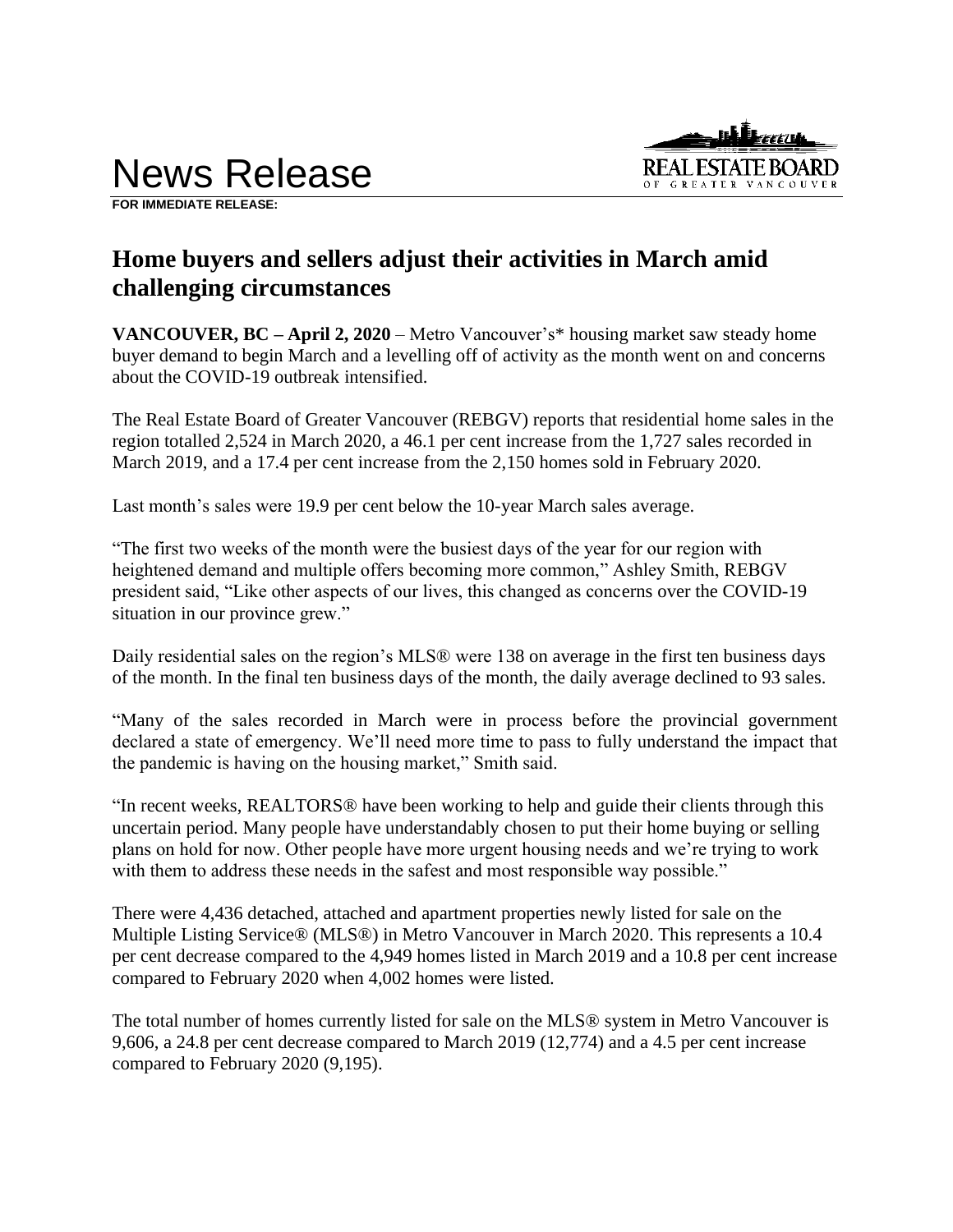

**FOR IMMEDIATE RELEASE:** 

# **Home buyers and sellers adjust their activities in March amid challenging circumstances**

**VANCOUVER, BC – April 2, 2020** – Metro Vancouver's\* housing market saw steady home buyer demand to begin March and a levelling off of activity as the month went on and concerns about the COVID-19 outbreak intensified.

The Real Estate Board of Greater Vancouver (REBGV) reports that residential home sales in the region totalled 2,524 in March 2020, a 46.1 per cent increase from the 1,727 sales recorded in March 2019, and a 17.4 per cent increase from the 2,150 homes sold in February 2020.

Last month's sales were 19.9 per cent below the 10-year March sales average.

"The first two weeks of the month were the busiest days of the year for our region with heightened demand and multiple offers becoming more common," Ashley Smith, REBGV president said, "Like other aspects of our lives, this changed as concerns over the COVID-19 situation in our province grew."

Daily residential sales on the region's MLS® were 138 on average in the first ten business days of the month. In the final ten business days of the month, the daily average declined to 93 sales.

"Many of the sales recorded in March were in process before the provincial government declared a state of emergency. We'll need more time to pass to fully understand the impact that the pandemic is having on the housing market," Smith said.

"In recent weeks, REALTORS® have been working to help and guide their clients through this uncertain period. Many people have understandably chosen to put their home buying or selling plans on hold for now. Other people have more urgent housing needs and we're trying to work with them to address these needs in the safest and most responsible way possible."

There were 4,436 detached, attached and apartment properties newly listed for sale on the Multiple Listing Service® (MLS®) in Metro Vancouver in March 2020. This represents a 10.4 per cent decrease compared to the 4,949 homes listed in March 2019 and a 10.8 per cent increase compared to February 2020 when 4,002 homes were listed.

The total number of homes currently listed for sale on the MLS® system in Metro Vancouver is 9,606, a 24.8 per cent decrease compared to March 2019 (12,774) and a 4.5 per cent increase compared to February 2020 (9,195).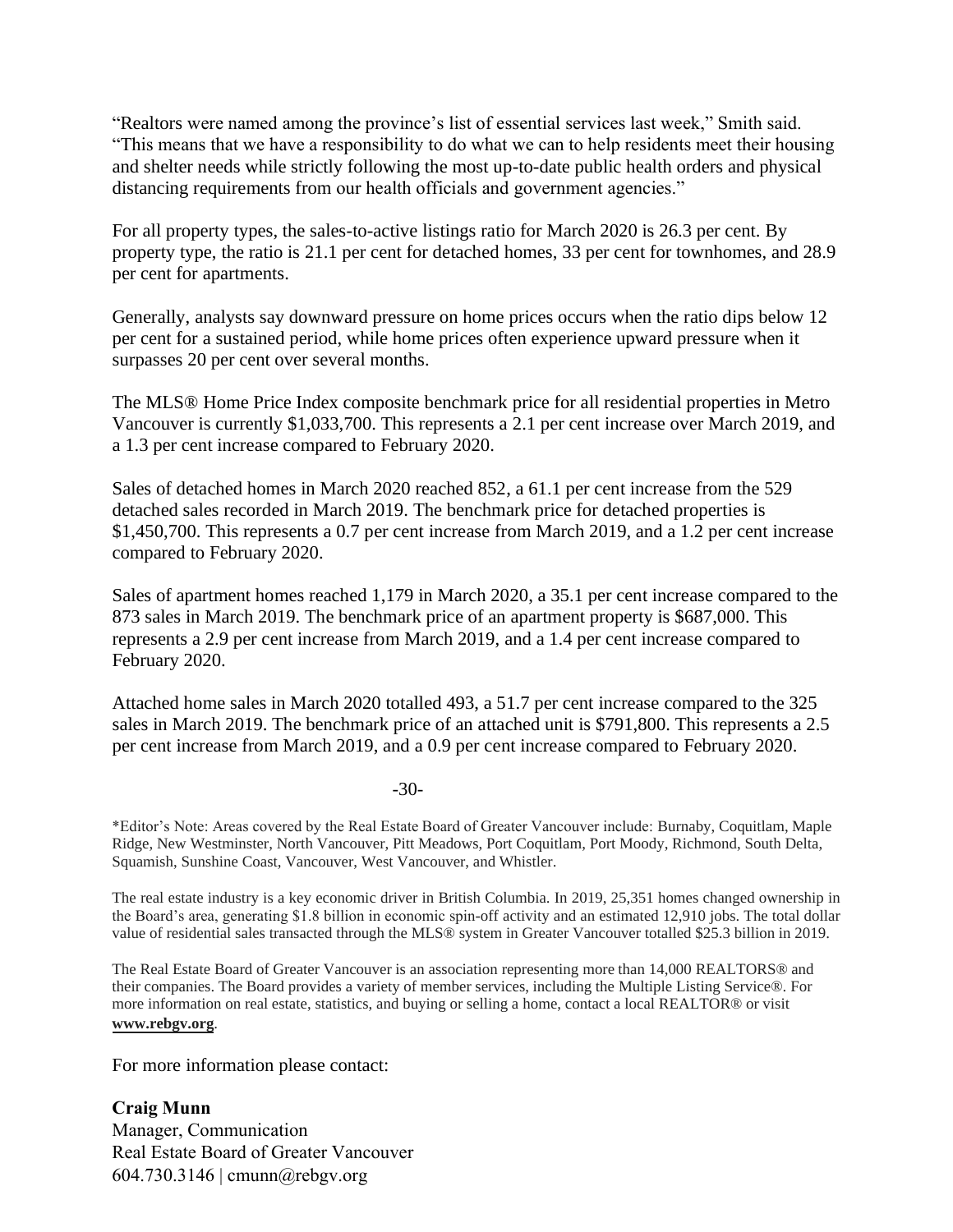"Realtors were named among the province's list of essential services last week," Smith said. "This means that we have a responsibility to do what we can to help residents meet their housing and shelter needs while strictly following the most up-to-date public health orders and physical distancing requirements from our health officials and government agencies."

For all property types, the sales-to-active listings ratio for March 2020 is 26.3 per cent. By property type, the ratio is 21.1 per cent for detached homes, 33 per cent for townhomes, and 28.9 per cent for apartments.

Generally, analysts say downward pressure on home prices occurs when the ratio dips below 12 per cent for a sustained period, while home prices often experience upward pressure when it surpasses 20 per cent over several months.

The MLS® Home Price Index composite benchmark price for all residential properties in Metro Vancouver is currently \$1,033,700. This represents a 2.1 per cent increase over March 2019, and a 1.3 per cent increase compared to February 2020.

Sales of detached homes in March 2020 reached 852, a 61.1 per cent increase from the 529 detached sales recorded in March 2019. The benchmark price for detached properties is \$1,450,700. This represents a 0.7 per cent increase from March 2019, and a 1.2 per cent increase compared to February 2020.

Sales of apartment homes reached 1,179 in March 2020, a 35.1 per cent increase compared to the 873 sales in March 2019. The benchmark price of an apartment property is \$687,000. This represents a 2.9 per cent increase from March 2019, and a 1.4 per cent increase compared to February 2020.

Attached home sales in March 2020 totalled 493, a 51.7 per cent increase compared to the 325 sales in March 2019. The benchmark price of an attached unit is \$791,800. This represents a 2.5 per cent increase from March 2019, and a 0.9 per cent increase compared to February 2020.

-30-

\*Editor's Note: Areas covered by the Real Estate Board of Greater Vancouver include: Burnaby, Coquitlam, Maple Ridge, New Westminster, North Vancouver, Pitt Meadows, Port Coquitlam, Port Moody, Richmond, South Delta, Squamish, Sunshine Coast, Vancouver, West Vancouver, and Whistler.

The real estate industry is a key economic driver in British Columbia. In 2019, 25,351 homes changed ownership in the Board's area, generating \$1.8 billion in economic spin-off activity and an estimated 12,910 jobs. The total dollar value of residential sales transacted through the MLS® system in Greater Vancouver totalled \$25.3 billion in 2019.

The Real Estate Board of Greater Vancouver is an association representing more than 14,000 REALTORS® and their companies. The Board provides a variety of member services, including the Multiple Listing Service®. For more information on real estate, statistics, and buying or selling a home, contact a local REALTOR® or visit **www.rebgv.org**.

For more information please contact:

**Craig Munn** Manager, Communication Real Estate Board of Greater Vancouver 604.730.3146 | cmunn@rebgv.org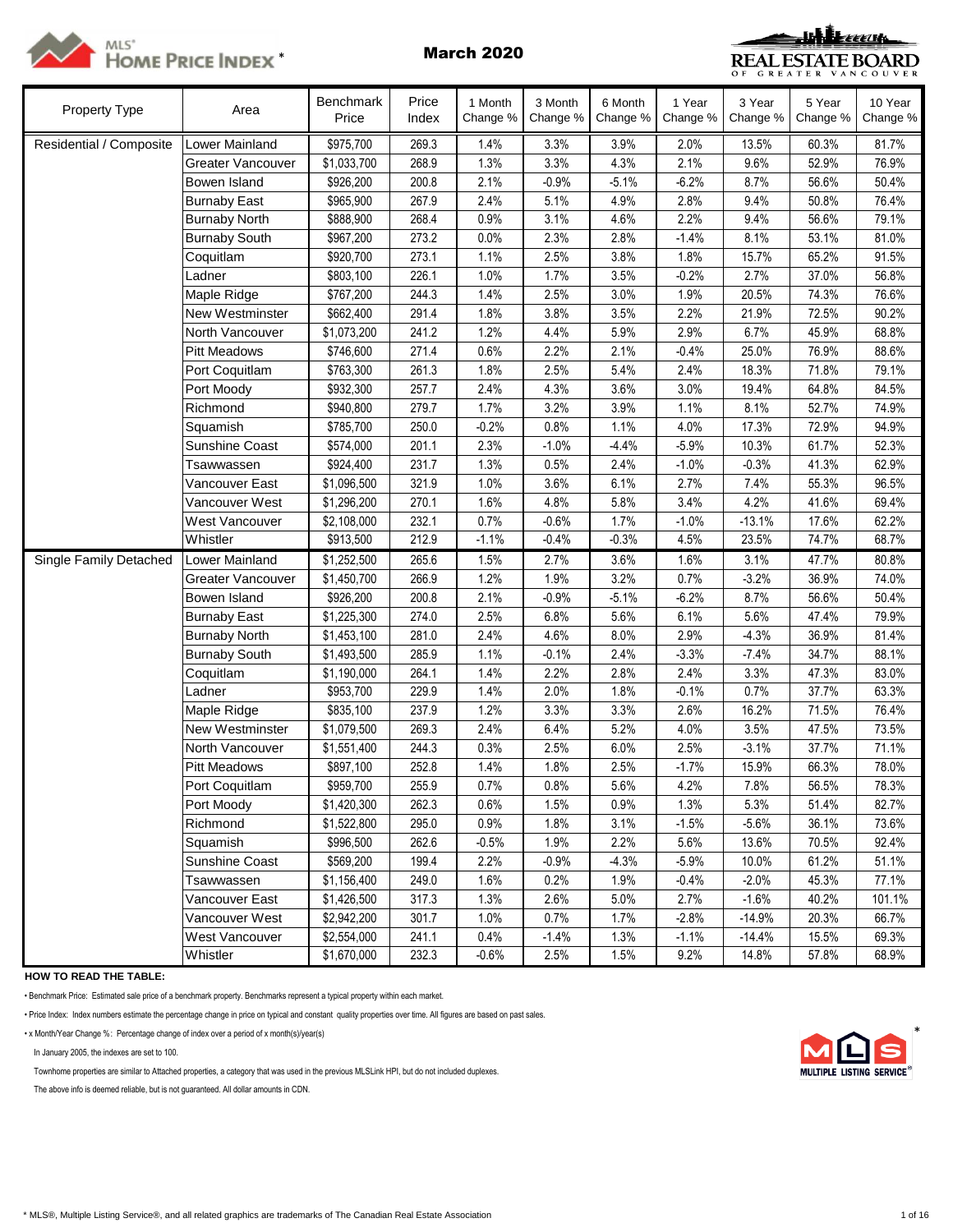



| Property Type           | Area                     | Benchmark<br>Price | Price<br>Index | 1 Month<br>Change % | 3 Month<br>Change % | 6 Month<br>Change % | 1 Year<br>Change % | 3 Year<br>Change % | 5 Year<br>Change % | 10 Year<br>Change % |
|-------------------------|--------------------------|--------------------|----------------|---------------------|---------------------|---------------------|--------------------|--------------------|--------------------|---------------------|
| Residential / Composite | Lower Mainland           | \$975,700          | 269.3          | 1.4%                | 3.3%                | 3.9%                | 2.0%               | 13.5%              | 60.3%              | 81.7%               |
|                         | <b>Greater Vancouver</b> | \$1,033,700        | 268.9          | 1.3%                | 3.3%                | 4.3%                | 2.1%               | 9.6%               | 52.9%              | 76.9%               |
|                         | Bowen Island             | \$926,200          | 200.8          | 2.1%                | $-0.9%$             | $-5.1%$             | $-6.2%$            | 8.7%               | 56.6%              | 50.4%               |
|                         | <b>Burnaby East</b>      | \$965,900          | 267.9          | 2.4%                | 5.1%                | 4.9%                | 2.8%               | 9.4%               | 50.8%              | 76.4%               |
|                         | <b>Burnaby North</b>     | \$888,900          | 268.4          | 0.9%                | 3.1%                | 4.6%                | 2.2%               | 9.4%               | 56.6%              | 79.1%               |
|                         | <b>Burnaby South</b>     | \$967,200          | 273.2          | 0.0%                | 2.3%                | 2.8%                | $-1.4%$            | 8.1%               | 53.1%              | 81.0%               |
|                         | Coquitlam                | \$920,700          | 273.1          | 1.1%                | 2.5%                | 3.8%                | 1.8%               | 15.7%              | 65.2%              | 91.5%               |
|                         | Ladner                   | \$803,100          | 226.1          | 1.0%                | 1.7%                | 3.5%                | $-0.2%$            | 2.7%               | 37.0%              | 56.8%               |
|                         | Maple Ridge              | \$767,200          | 244.3          | 1.4%                | 2.5%                | 3.0%                | 1.9%               | 20.5%              | 74.3%              | 76.6%               |
|                         | New Westminster          | \$662,400          | 291.4          | 1.8%                | 3.8%                | 3.5%                | 2.2%               | 21.9%              | 72.5%              | 90.2%               |
|                         | North Vancouver          | \$1,073,200        | 241.2          | 1.2%                | 4.4%                | 5.9%                | 2.9%               | 6.7%               | 45.9%              | 68.8%               |
|                         | <b>Pitt Meadows</b>      | \$746,600          | 271.4          | 0.6%                | 2.2%                | 2.1%                | $-0.4%$            | 25.0%              | 76.9%              | 88.6%               |
|                         | Port Coquitlam           | \$763,300          | 261.3          | 1.8%                | 2.5%                | 5.4%                | 2.4%               | 18.3%              | 71.8%              | 79.1%               |
|                         | Port Moody               | \$932,300          | 257.7          | 2.4%                | 4.3%                | 3.6%                | 3.0%               | 19.4%              | 64.8%              | 84.5%               |
|                         | Richmond                 | \$940,800          | 279.7          | 1.7%                | 3.2%                | 3.9%                | 1.1%               | 8.1%               | 52.7%              | 74.9%               |
|                         | Squamish                 | \$785,700          | 250.0          | $-0.2%$             | 0.8%                | 1.1%                | 4.0%               | 17.3%              | 72.9%              | 94.9%               |
|                         | <b>Sunshine Coast</b>    | \$574,000          | 201.1          | 2.3%                | $-1.0%$             | $-4.4%$             | $-5.9%$            | 10.3%              | 61.7%              | 52.3%               |
|                         | Tsawwassen               | \$924,400          | 231.7          | 1.3%                | 0.5%                | 2.4%                | $-1.0%$            | $-0.3%$            | 41.3%              | 62.9%               |
|                         | Vancouver East           | \$1,096,500        | 321.9          | 1.0%                | 3.6%                | 6.1%                | 2.7%               | 7.4%               | 55.3%              | 96.5%               |
|                         | Vancouver West           | \$1,296,200        | 270.1          | 1.6%                | 4.8%                | 5.8%                | 3.4%               | 4.2%               | 41.6%              | 69.4%               |
|                         | <b>West Vancouver</b>    | \$2,108,000        | 232.1          | 0.7%                | $-0.6%$             | 1.7%                | $-1.0%$            | $-13.1%$           | 17.6%              | 62.2%               |
|                         | Whistler                 | \$913,500          | 212.9          | $-1.1%$             | $-0.4%$             | $-0.3%$             | 4.5%               | 23.5%              | 74.7%              | 68.7%               |
| Single Family Detached  | <b>Lower Mainland</b>    | \$1,252,500        | 265.6          | 1.5%                | 2.7%                | 3.6%                | 1.6%               | 3.1%               | 47.7%              | 80.8%               |
|                         | Greater Vancouver        | \$1,450,700        | 266.9          | 1.2%                | 1.9%                | 3.2%                | 0.7%               | $-3.2%$            | 36.9%              | 74.0%               |
|                         | Bowen Island             | \$926,200          | 200.8          | 2.1%                | $-0.9%$             | $-5.1%$             | $-6.2%$            | 8.7%               | 56.6%              | 50.4%               |
|                         | <b>Burnaby East</b>      | \$1,225,300        | 274.0          | 2.5%                | 6.8%                | 5.6%                | 6.1%               | 5.6%               | 47.4%              | 79.9%               |
|                         | <b>Burnaby North</b>     | \$1,453,100        | 281.0          | 2.4%                | 4.6%                | 8.0%                | 2.9%               | $-4.3%$            | 36.9%              | 81.4%               |
|                         | <b>Burnaby South</b>     | \$1,493,500        | 285.9          | 1.1%                | $-0.1%$             | 2.4%                | $-3.3%$            | $-7.4%$            | 34.7%              | 88.1%               |
|                         | Coquitlam                | \$1,190,000        | 264.1          | 1.4%                | 2.2%                | 2.8%                | 2.4%               | 3.3%               | 47.3%              | 83.0%               |
|                         | Ladner                   | \$953,700          | 229.9          | 1.4%                | 2.0%                | 1.8%                | $-0.1%$            | 0.7%               | 37.7%              | 63.3%               |
|                         | Maple Ridge              | \$835,100          | 237.9          | 1.2%                | 3.3%                | 3.3%                | 2.6%               | 16.2%              | 71.5%              | 76.4%               |
|                         | New Westminster          | \$1,079,500        | 269.3          | 2.4%                | 6.4%                | 5.2%                | 4.0%               | 3.5%               | 47.5%              | 73.5%               |
|                         | North Vancouver          | \$1,551,400        | 244.3          | 0.3%                | 2.5%                | 6.0%                | 2.5%               | $-3.1%$            | 37.7%              | 71.1%               |
|                         | <b>Pitt Meadows</b>      | \$897,100          | 252.8          | 1.4%                | 1.8%                | 2.5%                | $-1.7%$            | 15.9%              | 66.3%              | 78.0%               |
|                         | Port Coquitlam           | \$959,700          | 255.9          | 0.7%                | 0.8%                | 5.6%                | 4.2%               | 7.8%               | 56.5%              | 78.3%               |
|                         | Port Moody               | \$1,420,300        | 262.3          | 0.6%                | 1.5%                | 0.9%                | 1.3%               | 5.3%               | 51.4%              | 82.7%               |
|                         | Richmond                 | \$1,522,800        | 295.0          | 0.9%                | 1.8%                | 3.1%                | $-1.5%$            | $-5.6%$            | 36.1%              | 73.6%               |
|                         | Squamish                 | \$996,500          | 262.6          | $-0.5%$             | 1.9%                | 2.2%                | 5.6%               | 13.6%              | 70.5%              | 92.4%               |
|                         | <b>Sunshine Coast</b>    | \$569,200          | 199.4          | 2.2%                | $-0.9%$             | $-4.3%$             | $-5.9%$            | 10.0%              | 61.2%              | 51.1%               |
|                         | Tsawwassen               | \$1,156,400        | 249.0          | 1.6%                | 0.2%                | 1.9%                | $-0.4%$            | $-2.0%$            | 45.3%              | 77.1%               |
|                         | Vancouver East           | \$1,426,500        | 317.3          | 1.3%                | 2.6%                | 5.0%                | 2.7%               | $-1.6%$            | 40.2%              | 101.1%              |
|                         | Vancouver West           | \$2,942,200        | 301.7          | 1.0%                | 0.7%                | 1.7%                | $-2.8%$            | $-14.9%$           | 20.3%              | 66.7%               |
|                         | West Vancouver           | \$2,554,000        | 241.1          | 0.4%                | $-1.4%$             | 1.3%                | $-1.1%$            | $-14.4%$           | 15.5%              | 69.3%               |
|                         | Whistler                 | \$1,670,000        | 232.3          | $-0.6%$             | 2.5%                | 1.5%                | 9.2%               | 14.8%              | 57.8%              | 68.9%               |

**HOW TO READ THE TABLE:**

• Benchmark Price: Estimated sale price of a benchmark property. Benchmarks represent a typical property within each market.

• Price Index: Index numbers estimate the percentage change in price on typical and constant quality properties over time. All figures are based on past sales.

• x Month/Year Change %: Percentage change of index over a period of x month(s)/year(s) \*

In January 2005, the indexes are set to 100.

Townhome properties are similar to Attached properties, a category that was used in the previous MLSLink HPI, but do not included duplexes.

The above info is deemed reliable, but is not guaranteed. All dollar amounts in CDN.

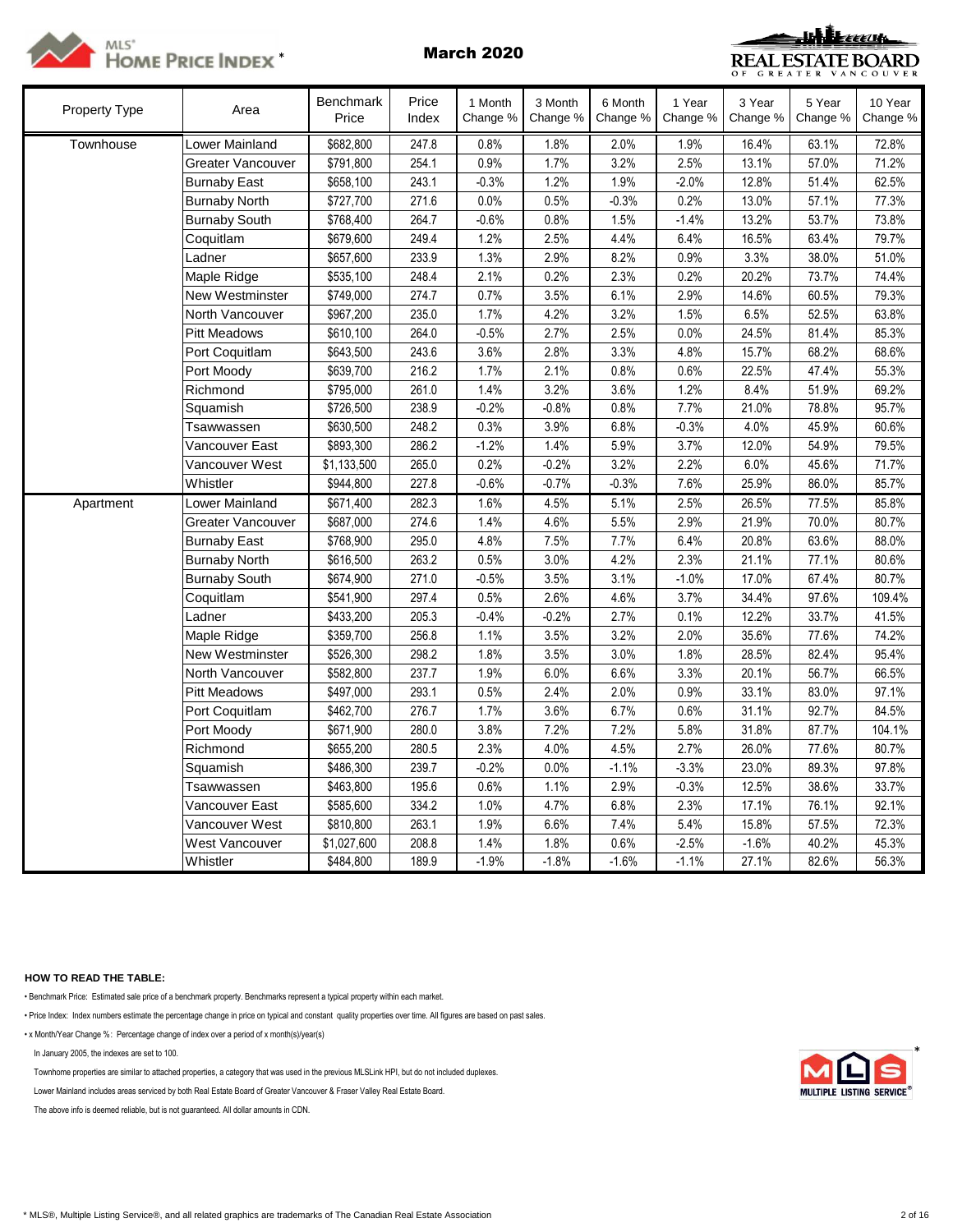



| <b>Property Type</b> | Area                     | <b>Benchmark</b><br>Price | Price<br>Index | 1 Month<br>Change % | 3 Month<br>Change % | 6 Month<br>Change % | 1 Year<br>Change % | 3 Year<br>Change % | 5 Year<br>Change % | 10 Year<br>Change % |
|----------------------|--------------------------|---------------------------|----------------|---------------------|---------------------|---------------------|--------------------|--------------------|--------------------|---------------------|
| Townhouse            | Lower Mainland           | \$682,800                 | 247.8          | 0.8%                | 1.8%                | 2.0%                | 1.9%               | 16.4%              | 63.1%              | 72.8%               |
|                      | Greater Vancouver        | \$791,800                 | 254.1          | 0.9%                | 1.7%                | 3.2%                | 2.5%               | 13.1%              | 57.0%              | 71.2%               |
|                      | <b>Burnaby East</b>      | \$658,100                 | 243.1          | $-0.3%$             | 1.2%                | 1.9%                | $-2.0%$            | 12.8%              | 51.4%              | 62.5%               |
|                      | <b>Burnaby North</b>     | \$727,700                 | 271.6          | 0.0%                | 0.5%                | $-0.3%$             | 0.2%               | 13.0%              | 57.1%              | 77.3%               |
|                      | <b>Burnaby South</b>     | \$768,400                 | 264.7          | $-0.6%$             | 0.8%                | 1.5%                | $-1.4%$            | 13.2%              | 53.7%              | 73.8%               |
|                      | Coquitlam                | \$679,600                 | 249.4          | 1.2%                | 2.5%                | 4.4%                | 6.4%               | 16.5%              | 63.4%              | 79.7%               |
|                      | Ladner                   | \$657,600                 | 233.9          | 1.3%                | 2.9%                | 8.2%                | 0.9%               | 3.3%               | 38.0%              | 51.0%               |
|                      | Maple Ridge              | \$535,100                 | 248.4          | 2.1%                | 0.2%                | 2.3%                | 0.2%               | 20.2%              | 73.7%              | 74.4%               |
|                      | New Westminster          | \$749,000                 | 274.7          | 0.7%                | 3.5%                | 6.1%                | 2.9%               | 14.6%              | 60.5%              | 79.3%               |
|                      | North Vancouver          | \$967,200                 | 235.0          | 1.7%                | 4.2%                | 3.2%                | 1.5%               | 6.5%               | 52.5%              | 63.8%               |
|                      | <b>Pitt Meadows</b>      | \$610,100                 | 264.0          | $-0.5%$             | 2.7%                | 2.5%                | 0.0%               | 24.5%              | 81.4%              | 85.3%               |
|                      | Port Coquitlam           | \$643,500                 | 243.6          | 3.6%                | 2.8%                | 3.3%                | 4.8%               | 15.7%              | 68.2%              | 68.6%               |
|                      | Port Moody               | \$639,700                 | 216.2          | 1.7%                | 2.1%                | 0.8%                | 0.6%               | 22.5%              | 47.4%              | 55.3%               |
|                      | Richmond                 | \$795,000                 | 261.0          | 1.4%                | 3.2%                | 3.6%                | 1.2%               | 8.4%               | 51.9%              | 69.2%               |
|                      | Squamish                 | \$726,500                 | 238.9          | $-0.2%$             | $-0.8%$             | 0.8%                | 7.7%               | 21.0%              | 78.8%              | 95.7%               |
|                      | Tsawwassen               | \$630,500                 | 248.2          | 0.3%                | 3.9%                | 6.8%                | $-0.3%$            | 4.0%               | 45.9%              | 60.6%               |
|                      | Vancouver East           | \$893,300                 | 286.2          | $-1.2%$             | 1.4%                | 5.9%                | 3.7%               | 12.0%              | 54.9%              | 79.5%               |
|                      | Vancouver West           | \$1,133,500               | 265.0          | 0.2%                | $-0.2%$             | 3.2%                | 2.2%               | 6.0%               | 45.6%              | 71.7%               |
|                      | Whistler                 | \$944,800                 | 227.8          | $-0.6%$             | $-0.7%$             | $-0.3%$             | 7.6%               | 25.9%              | 86.0%              | 85.7%               |
| Apartment            | <b>Lower Mainland</b>    | \$671,400                 | 282.3          | 1.6%                | 4.5%                | 5.1%                | 2.5%               | 26.5%              | 77.5%              | 85.8%               |
|                      | <b>Greater Vancouver</b> | \$687,000                 | 274.6          | 1.4%                | 4.6%                | 5.5%                | 2.9%               | 21.9%              | 70.0%              | 80.7%               |
|                      | <b>Burnaby East</b>      | \$768,900                 | 295.0          | 4.8%                | 7.5%                | 7.7%                | 6.4%               | 20.8%              | 63.6%              | 88.0%               |
|                      | <b>Burnaby North</b>     | \$616,500                 | 263.2          | 0.5%                | 3.0%                | 4.2%                | 2.3%               | 21.1%              | 77.1%              | 80.6%               |
|                      | <b>Burnaby South</b>     | \$674,900                 | 271.0          | $-0.5%$             | 3.5%                | 3.1%                | $-1.0%$            | 17.0%              | 67.4%              | 80.7%               |
|                      | Coquitlam                | \$541,900                 | 297.4          | 0.5%                | 2.6%                | 4.6%                | 3.7%               | 34.4%              | 97.6%              | 109.4%              |
|                      | Ladner                   | \$433,200                 | 205.3          | $-0.4%$             | $-0.2%$             | 2.7%                | 0.1%               | 12.2%              | 33.7%              | 41.5%               |
|                      | Maple Ridge              | \$359,700                 | 256.8          | 1.1%                | 3.5%                | 3.2%                | 2.0%               | 35.6%              | 77.6%              | 74.2%               |
|                      | New Westminster          | \$526,300                 | 298.2          | 1.8%                | 3.5%                | 3.0%                | 1.8%               | 28.5%              | 82.4%              | 95.4%               |
|                      | North Vancouver          | \$582,800                 | 237.7          | 1.9%                | 6.0%                | 6.6%                | 3.3%               | 20.1%              | 56.7%              | 66.5%               |
|                      | <b>Pitt Meadows</b>      | \$497,000                 | 293.1          | 0.5%                | 2.4%                | 2.0%                | 0.9%               | 33.1%              | 83.0%              | 97.1%               |
|                      | Port Coquitlam           | \$462,700                 | 276.7          | 1.7%                | 3.6%                | 6.7%                | 0.6%               | 31.1%              | 92.7%              | 84.5%               |
|                      | Port Moody               | \$671,900                 | 280.0          | 3.8%                | 7.2%                | 7.2%                | 5.8%               | 31.8%              | 87.7%              | 104.1%              |
|                      | Richmond                 | \$655,200                 | 280.5          | 2.3%                | 4.0%                | 4.5%                | 2.7%               | 26.0%              | 77.6%              | 80.7%               |
|                      | Squamish                 | \$486,300                 | 239.7          | $-0.2%$             | 0.0%                | $-1.1%$             | $-3.3%$            | 23.0%              | 89.3%              | 97.8%               |
|                      | Tsawwassen               | \$463,800                 | 195.6          | 0.6%                | 1.1%                | 2.9%                | $-0.3%$            | 12.5%              | 38.6%              | 33.7%               |
|                      | Vancouver East           | \$585,600                 | 334.2          | 1.0%                | 4.7%                | 6.8%                | 2.3%               | 17.1%              | 76.1%              | 92.1%               |
|                      | Vancouver West           | \$810,800                 | 263.1          | 1.9%                | 6.6%                | 7.4%                | 5.4%               | 15.8%              | 57.5%              | 72.3%               |
|                      | <b>West Vancouver</b>    | \$1,027,600               | 208.8          | 1.4%                | 1.8%                | 0.6%                | $-2.5%$            | $-1.6%$            | 40.2%              | 45.3%               |
|                      | Whistler                 | \$484,800                 | 189.9          | $-1.9%$             | $-1.8%$             | $-1.6%$             | $-1.1%$            | 27.1%              | 82.6%              | 56.3%               |

# **HOW TO READ THE TABLE:**

• Benchmark Price: Estimated sale price of a benchmark property. Benchmarks represent a typical property within each market.

• Price Index: Index numbers estimate the percentage change in price on typical and constant quality properties over time. All figures are based on past sales.

• x Month/Year Change %: Percentage change of index over a period of x month(s)/year(s)

In January 2005, the indexes are set to 100.

Townhome properties are similar to attached properties, a category that was used in the previous MLSLink HPI, but do not included duplexes.

Lower Mainland includes areas serviced by both Real Estate Board of Greater Vancouver & Fraser Valley Real Estate Board.

The above info is deemed reliable, but is not guaranteed. All dollar amounts in CDN.

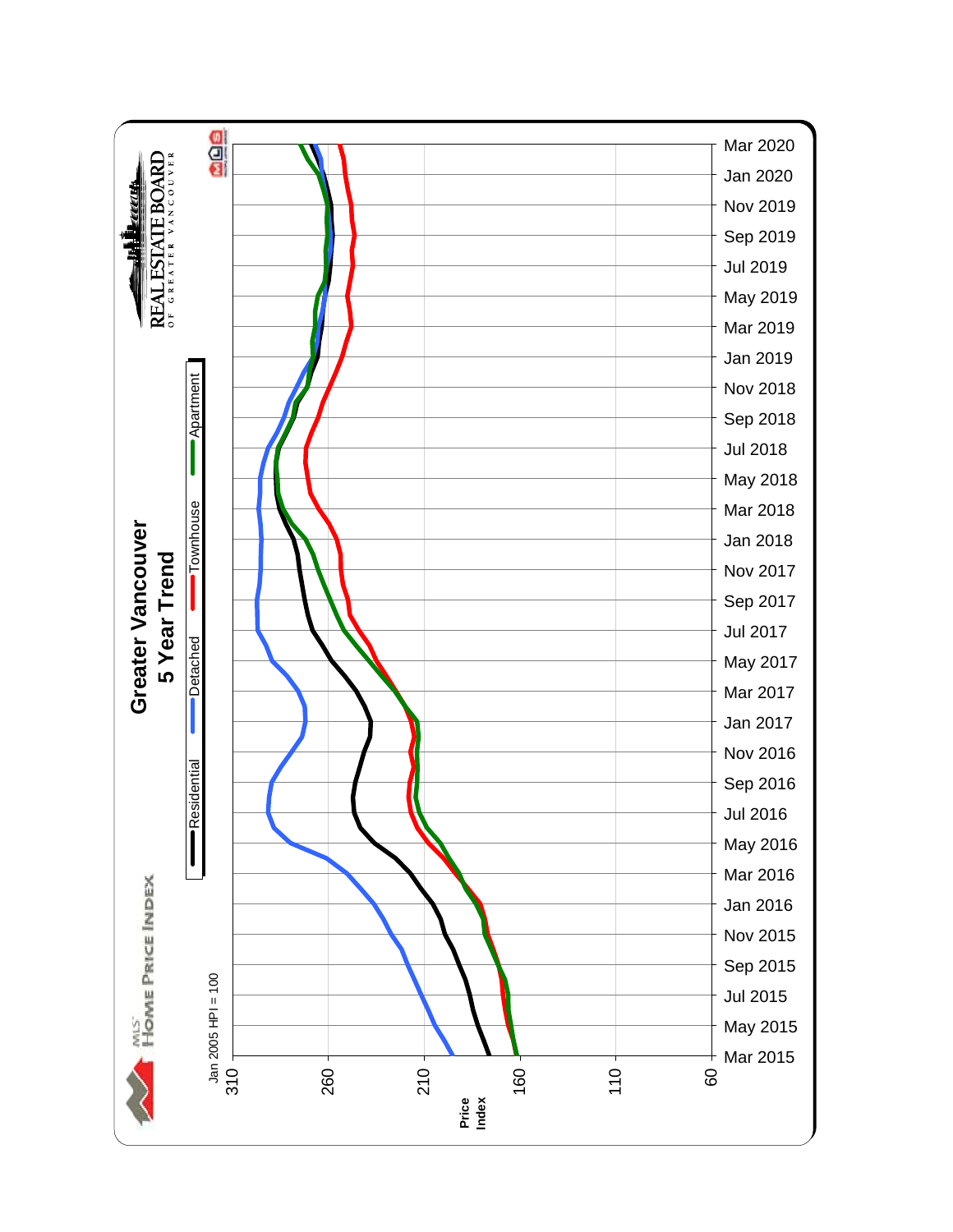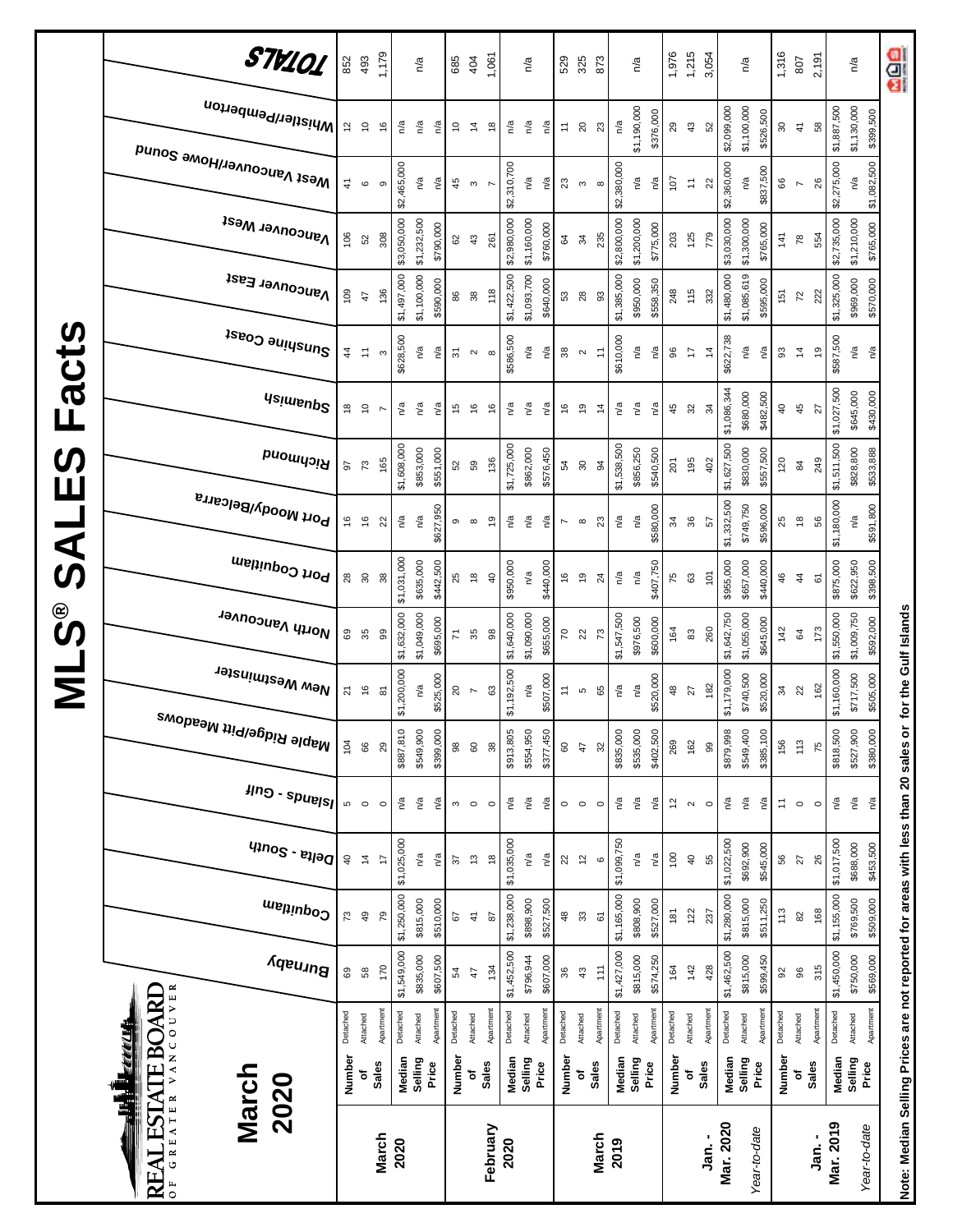|                      | STV101                                                                           | 852                            | 493              | 1,179          |             | n′a              |           | 685            | 404                            | 1,061                          |                           | n/a         |           | 529                    | 325                       | 873            |             | n/a         |           | 1,976    | 1,215                      | 3,054                 |             | n/a                     |           | 1,316                       | 807                | 2,191          |             | n/a                                                | age                                                                               |
|----------------------|----------------------------------------------------------------------------------|--------------------------------|------------------|----------------|-------------|------------------|-----------|----------------|--------------------------------|--------------------------------|---------------------------|-------------|-----------|------------------------|---------------------------|----------------|-------------|-------------|-----------|----------|----------------------------|-----------------------|-------------|-------------------------|-----------|-----------------------------|--------------------|----------------|-------------|----------------------------------------------------|-----------------------------------------------------------------------------------|
|                      | Whistler/Pemberton                                                               | $\frac{2}{3}$                  | $\tilde{a}$      | $\frac{6}{5}$  | n/a         | n/a              | n/a       | ő              | $\tilde{4}$                    | $\frac{8}{1}$                  | n/a                       | n/a         | n/a       | $\stackrel{+}{\cdot}$  | $20\,$                    | 23             | n/a         | \$1,190,000 | \$376,000 | 29       | $43$                       | 52                    | \$2,099,000 | \$1,100,000             | \$526,500 | $\boldsymbol{30}$           | $\ddot{4}$         | 58             | \$1,887,500 | \$1,130,000<br>\$399,500                           |                                                                                   |
|                      | Mest Vancouver/Howe Sound                                                        | $\ddot{4}$                     | $\mathbf \Omega$ | თ              | \$2,465,000 | n/a              | n/a       | 45             | $\boldsymbol{\mathsf{c}}$      |                                | \$2,310,700               | n/a         | n/a       | $23\,$                 | $\boldsymbol{\upsigma}$   | $\infty$       | \$2,380,000 | n/a         | n/a       | 107      | $\tilde{r}$                | $\overline{2}$        | \$2,360,000 | ηã                      | \$837,500 | 66                          | $\overline{ }$     | $26$           | \$2,275,000 | \$1,082,500<br>n/a                                 |                                                                                   |
|                      | <b>Vancouver West</b>                                                            | 106                            | $52\,$           | 308            | \$3,050,000 | \$1,232,500      | \$790,000 | 82             | $43$                           | 261                            | \$2,980,000               | \$1,160,000 | \$760,000 | 64                     | 34                        | 235            | \$2,800,000 | \$1,200,000 | \$775,000 | 203      | 125                        | 779                   | \$3,030,000 | \$1,300,000             | \$765,000 | 141                         | $78$               | 554            | \$2,735,000 | \$1,210,000<br>\$765,000                           |                                                                                   |
|                      | Vancouver East                                                                   | 109                            | 47               | 136            | \$1,497,000 | \$1,100,000      | \$590,000 | 86             | $38$                           | 118                            | \$1,422,500               | \$1,093,700 | \$640,000 | 53                     | $28$                      | 3              | \$1,385,000 | \$950,000   | \$558,350 | 248      | 115                        | 332                   | \$1,480,000 | \$1,085,619             | \$595,000 | 151                         | $\overline{z}$     | 222            | \$1,325,000 | \$969,000<br>\$570,000                             |                                                                                   |
| Facts                | Sunshine Coast                                                                   | $\frac{4}{3}$                  | $\ddot{=}$       | S              | \$628,500   | ηá               | n′a       | 51             | $\mathbf{\Omega}$              | $\infty$                       | \$586,500                 | ηã          | n/a       | $38\,$                 | $\sim$                    | Ξ              | \$610,000   | n/a         | ηá        | 96       | $\ddot{ }$                 | $\overline{4}$        | \$622,738   | n/a                     | n/a       | 93                          | $\tilde{4}$        | $\overline{9}$ | \$587,500   | n/a<br>n/a                                         |                                                                                   |
|                      | <b>Asimsup2</b>                                                                  | $\overset{\circ}{\phantom{a}}$ | $\tilde{c}$      | $\overline{ }$ | n/a         | n/a              | n/a       | 45             | $\frac{6}{5}$                  | $\frac{6}{5}$                  | n/a                       | n/a         | n/a       | 9                      | $\frac{6}{2}$             | $\frac{4}{3}$  | n/a         | ്ദ          | n/a       | 45       | $\boldsymbol{\mathcal{S}}$ | रु                    | \$1,086,344 | \$680,000               | \$482,500 | $\overline{a}$              | 45                 | 27             | \$1,027,500 | \$645,000<br>\$430,000                             |                                                                                   |
| <b>S</b><br>Ш        | Richmond                                                                         | 26                             | $\mathbb{Z}^2$   | 165            | \$1,608,000 | \$853,000        | \$551,000 | 52             | 59                             | 136                            | \$1,725,000               | \$862,000   | \$576,450 | 54                     | 30                        | 34             | \$1,538,500 | \$856,250   | \$540,500 | 201      | 195                        | 402                   | \$1,627,500 | \$830,000               | \$557,500 | 120                         | $\mathsf{g}$       | 249            | \$1,511,500 | \$828,800<br>\$533,888                             |                                                                                   |
| $\blacktriangleleft$ | Port Moody/Belcarra                                                              | $\frac{6}{5}$                  | $\frac{6}{5}$    | 22             | n/a         | n/a              | \$627,950 | G              | $\infty$                       | $\overline{9}$                 | n/a                       | n/a         | n/a       | $\overline{ }$         | $\infty$                  | $\mathbf{z}$   | n/a         | n'a         | \$580,000 | 34       | 36                         | 57                    | \$1,332,500 | \$749,750               | \$596,000 | 25                          | $\frac{8}{2}$      | 56             | \$1,180,000 | \$591,800<br>n/a                                   |                                                                                   |
| <b>Si</b>            | Port Coquitlam                                                                   | $^{28}$                        | $\rm ^{30}$      | 38             | \$1,031,000 | \$635,000        | \$442,500 | 25             | $\overset{\circ}{\phantom{a}}$ | $\sqrt{4}$                     | \$950,000                 | n/a         | \$440,000 | $\frac{6}{2}$          | $\frac{9}{2}$             | $^{24}$        | n/a         | ്ദ          | \$407,750 | 75       | 63                         | 101                   | \$955,000   | \$657,000               | \$440,000 | 46                          | $\frac{4}{3}$      | 61             | \$875,000   | \$622,950<br>\$398,500                             |                                                                                   |
| ©<br>ဟ               | North Vancouver                                                                  | 69                             | 35               | 99             | \$1,632,000 | \$1,049,000      | \$695,000 | 71             | 35                             | $_{98}$                        | \$1,640,000               | \$1,090,000 | \$655,000 | $\overline{70}$        | $\overline{2}$            | $\mathbb{R}^2$ | \$1,547,500 | \$976,500   | \$600,000 | 164      | 83                         | 260                   | \$1,642,750 | \$1,055,000             | \$645,000 | 142                         | 64                 | 173            | \$1,550,000 | \$1,009,750<br>\$592,000                           | for the Gulf Islands                                                              |
| Σ                    | New Westminster                                                                  | $\overline{2}$                 | $\frac{6}{5}$    | 5              | \$1,200,000 | n/a              | \$525,000 | $\overline{c}$ | $\overline{ }$                 | 63                             | \$1,192,500               | n/a         | \$507,000 | $\tilde{t}$            | S                         | 65             | n/a         | ്ദ          | \$520,000 | 48       | 27                         | 182                   | \$1,179,000 | \$740,500               | \$520,000 | 34                          | 22                 | 162            | \$1,160,000 | \$717,500<br>\$505,000                             |                                                                                   |
|                      | <sup>Maple Ridge/Pitt Meadows</sup>                                              | 104                            | 66               | 29             | \$887,810   | \$549,900        | \$399,000 | 98             | 60                             | $38$                           | \$913,805                 | \$554,950   | \$377,450 | $\mbox{ }^\mathrm{SO}$ | $47$                      | 32             | \$835,000   | \$535,000   | \$402,500 | 269      | 162                        | 99                    | \$879,998   | \$549,400               | \$385,100 | 156                         | 113                | 75             | \$818,500   | \$527,900<br>\$380,000                             |                                                                                   |
|                      | $\mu$ ng - spuelsl                                                               | Ю                              | $\circ$          | $\circ$        | Ρá          | n/a              | ηá        | 3              | $\circ$                        | $\circ$                        | $\mathbb{R}^{\mathsf{d}}$ | n/a         | n/a       | $\circ$                | $\circ$                   | $\circ$        | n/a         | n/a         | n/a       | 5        | $\sim$                     | $\circ$               | ΡÅ          | $\mathsf{n}^\mathsf{d}$ | n/a       | $\stackrel{1}{\rightarrow}$ | $\circ$            | $\circ$        | Ρá          | $\mathsf{p}_\mathsf{q}$<br>$\mathsf{r}^\mathsf{a}$ |                                                                                   |
|                      | $q_{100}$ s - $e_{100}$                                                          | $\overline{4}$                 | $\ddot{4}$       | 4              | \$1,025,000 | n/a              | n/a       | 22             | $\frac{3}{2}$                  | $\overset{\circ}{\phantom{a}}$ | \$1,035,000               | n/a         | n/a       | $\overline{2}$         | $\overline{\mathfrak{c}}$ | $\circ$        | \$1,099,750 | n/a         | n/a       | 100      | $\overline{6}$             | 55                    | \$1,022,500 | \$692,900               | \$545,000 | 56                          | 27                 | 26             | \$1,017,500 | \$688,000<br>\$453,500                             |                                                                                   |
|                      | Coquitlam                                                                        | 73                             | $\overline{a}$   | ΓQ             | \$1,250,000 | \$815,000        | \$510,000 | 5              | $\frac{1}{2}$                  | $\boldsymbol{\mathsf{s}}$      | \$1,238,000               | \$898,900   | \$527,500 | $\frac{a}{2}$          | $\mathbbmss{3}$           | 67             | \$1,165,000 | \$808,900   | \$527,000 | 181      | 122                        | 237                   | \$1,280,000 | \$815,000               | \$511,250 | 113                         | 8                  | 168            | \$1,155,000 | \$769,500<br>\$509,000                             |                                                                                   |
|                      | Burnaby                                                                          | 69                             | $58\,$           | 170            | \$1,549,000 | \$835,000        | \$607,500 | 54             | 47                             | 134                            | \$1,452,500               | \$796,944   | \$607,000 | 36                     | $43$                      | 111            | \$1,427,000 | \$815,000   | \$574,250 | 164      | 142                        | 428                   | \$1,462,500 | \$815,000               | \$599,450 | $\Omega$                    | $96$               | 315            | \$1,450,000 | \$750,000<br>\$569,000                             |                                                                                   |
|                      | VANCOUVER<br><b>ESTATE BOARD</b>                                                 | Detached                       | Attached         | Apartment      | Detached    | Attached         | Apartment | Detached       | Attached                       | Apartmen                       | Detached                  | Attached    | Apartment | Detached               | Attached                  | Apartmen       | Detached    | Attached    | Apartment | Detached | Attached                   | Apartmen <sup>-</sup> | Detached    | Attached                | Apartmen  | Detached                    | Attached           | Apartment      | Detached    | Apartment<br>Attached                              |                                                                                   |
|                      | <u>my pr</u><br>March<br>2020                                                    | Number                         | Sales<br>٥       |                | Median      | Selling<br>Price |           | Number         | Sales<br>٥                     |                                | Median                    | Selling     | Price     | Number                 | ٥                         | <b>Sales</b>   | Median      | Selling     | Price     | Number   | <b>Sales</b><br>ō          |                       | Median      | Selling<br>Price        |           | Number                      | <b>Sales</b><br>٥ť |                | Median      | Selling<br>Price                                   |                                                                                   |
|                      | $G$ R E A T E R<br>$\overline{\blacktriangle}$<br>$\mathbf{R}$<br>$\overline{0}$ |                                |                  | <b>March</b>   | 2020        |                  |           |                |                                | February                       | 2020                      |             |           |                        |                           | <b>March</b>   | 2019        |             |           |          |                            | Jan. -                | Mar. 2020   | Year-to-date            |           |                             |                    | Jan.-          | Mar. 2019   | Year-to-date                                       | Note: Median Selling Prices are not reported for areas with less than 20 sales or |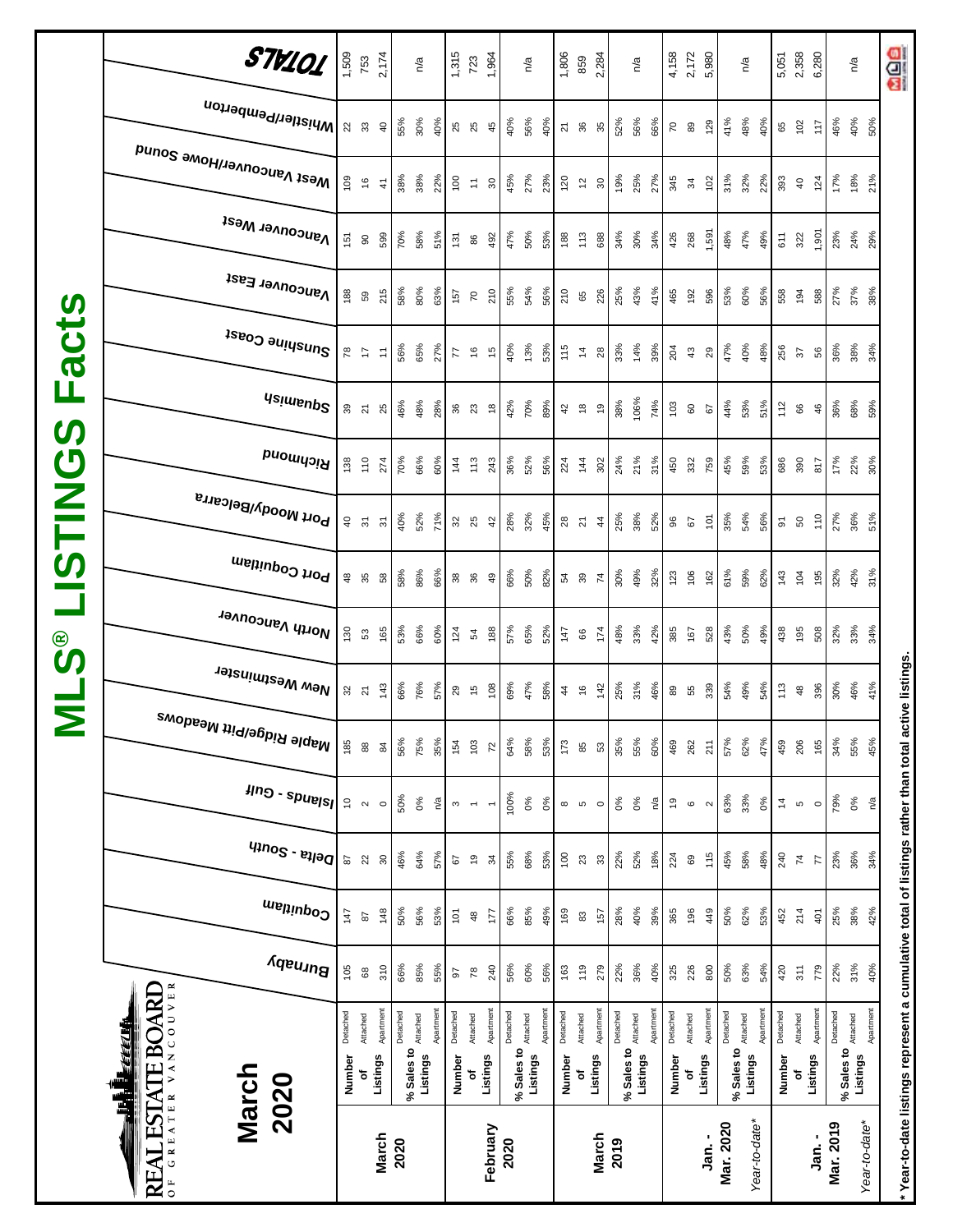|                         | STV101                                           |                | 1,509<br>753                  | 2,174                     |          | n/a                             |           | 1,315            | 723                      | 1,964                    |              | n/a      |           | 1,806         | 859                | 2,284                   |            | n/a      |           |                | $4,158$<br>2, 172<br>5, 980 |           |            | $n^{\prime}$ a        | 5,051      | 2,358          | 6,280                |           | $\overline{\mathsf{r}}$                |                      | age                                                                                                 |
|-------------------------|--------------------------------------------------|----------------|-------------------------------|---------------------------|----------|---------------------------------|-----------|------------------|--------------------------|--------------------------|--------------|----------|-----------|---------------|--------------------|-------------------------|------------|----------|-----------|----------------|-----------------------------|-----------|------------|-----------------------|------------|----------------|----------------------|-----------|----------------------------------------|----------------------|-----------------------------------------------------------------------------------------------------|
|                         | Whistler/Pemberton                               |                | 23                            | $\overline{4}$            | 55%      | 30%                             | 40%       | 25<br>25         |                          | 45                       | 40%          | 56%      | 40%       | 21            | 36                 | 35                      | 52%        | 56%      | 66%       | $\overline{C}$ | 89                          | 129       | 41%        | 48%<br>40%            | 65         | 102            | 117                  | 46%       | 40%                                    | 50%                  |                                                                                                     |
|                         | <sub>Me2t</sub> <sub>N</sub> aucon∧e⊾Nome 2onuq  | 109            | $\frac{6}{5}$                 | $\frac{4}{1}$             | 38%      | 38%                             | 22%       | $^{100}$         | $\tilde{=}$              | 30                       | 45%          | 27%      | 23%       | 120           | $\tilde{c}$        | $30\,$                  | 19%        | 25%      | 27%       | 345            | 34                          | 102       | 31%        | 32%<br>22%            | 393        | $\overline{4}$ | 124                  | 17%       | 18%                                    | 21%                  |                                                                                                     |
|                         | <b>Vancouver West</b>                            | 151            | $\mathsf{S}^{\mathsf{O}}$     | 599                       | 70%      | 58%                             | 51%       | $\frac{5}{13}$   | 86                       | 492                      | 47%          | 50%      | 53%       | 188           | 113                | 688                     | 34%        | 30%      | 34%       | 426            | 268                         | 1,591     | 48%        | 47%<br>49%            | 611        | 322            | 1,901                | 23%       | 24%                                    | 29%                  |                                                                                                     |
|                         | Vancouver East                                   | 188            | 59                            | 215                       | 58%      | 80%                             | 63%       | 157              | $\overline{r}$           | 210                      | 55%          | 54%      | 56%       | 210           | 65                 | 226                     | 25%        | 43%      | 41%       | 465            | 192                         | 596       | 53%        | 60%<br>56%            | 558        |                | 588<br>194           | 27%       | 37%                                    | 38%                  |                                                                                                     |
| <b>acts</b>             | Sunshine Coast                                   | 78             | $\stackrel{\textstyle{1}}{2}$ | 1                         | 56%      | 65%                             | 27%       | 77               | $\frac{6}{5}$            | $\frac{1}{2}$            | 40%          | 13%      | 53%       | 115           | $\frac{4}{3}$      | $28\,$                  | 33%        | 14%      | 39%       | 204            | $\sqrt{3}$                  | 29        | 47%        | 40%<br>48%            | 256        |                | 56<br>57             | 36%       | 38%                                    | 34%                  |                                                                                                     |
| Щ                       | <b>Asimeup<sup>2</sup></b>                       |                | $30\frac{1}{2}$               | 25                        | 46%      | 48%                             | 28%       | 36<br>23         |                          | $\frac{8}{2}$            | 42%          | 70%      | 89%       | 42            | $\frac{8}{10}$     | $\overline{\mathsf{c}}$ | 38%        | 106%     | 74%       | $103$          | 60                          | 57        | 44%        | 53%<br>51%            | 112        |                | 66<br>46             | 36%       | 68%                                    | 59%                  |                                                                                                     |
| $\boldsymbol{\omega}$   | <b>PuowyoiA</b>                                  | 138            | 110                           | 274                       | 70%      | 66%                             | 60%       | 144              | $113$                    | 243                      | 36%          | 52%      | 56%       | 224           | 144                | 302                     | 24%        | 21%      | 31%       | 450            | 332                         | 759       | 45%        | 59%<br>53%            | 686        | 390            | 817                  | 17%       | 22%                                    | 30%                  |                                                                                                     |
| <b>USTING</b>           | Port Moody/Belcarra                              | $\overline{6}$ | $\overline{5}$                | $\overline{\mathfrak{S}}$ | 40%      | 52%                             | 71%       | $32$ $25$        |                          | 42                       | 28%          | 32%      | 45%       | 28            | $\overline{2}$     | $\ddot{4}$              | 25%        | 38%      | 52%       | 96             | 67                          | 101       | 35%        | 54%<br>56%            | ଚ          | SO             | 110                  | 27%       | 36%                                    | 51%                  |                                                                                                     |
|                         | Port Coquitlam                                   | $\frac{48}{5}$ | 35                            | 58                        | 58%      | 86%                             | 66%       | 38<br>36         |                          | 49                       | 66%          | 50%      | 82%       |               | 54 39              | $\overline{r}$          | 30%        | 49%      | 32%       | 123            | 106                         | 162       | 61%        | 59%<br>62%            | 143        | 104            | 195                  | 32%       | 42%                                    | 31%                  |                                                                                                     |
| ိ<br>ဟ                  | North Vancouver                                  | 130            | 53                            | 165                       | 53%      | 66%                             | 60%       | 124              | 54                       | 188                      | 57%          | 65%      | 52%       | 147           | 66                 | 174                     | 48%        | 33%      | 42%       | 385            | 167                         | 528       | 43%        | 50%<br>49%            | 438        |                | 195<br>508           | 32%       | 33%                                    | 34%                  |                                                                                                     |
| $\overline{\mathsf{z}}$ | New Westminster                                  |                | 32 <sub>5</sub>               | 143                       | 66%      | 76%                             | 57%       | $_{29}$          | 15                       | 108                      | 69%          | 47%      | 58%       | $\frac{4}{4}$ | $\frac{6}{2}$      | 142                     | 25%        | 31%      | 46%       | 89             | 55                          | 339       | 54%        | 49%<br>54%            | 113        |                | 396<br>$48$          | 30%       | 46%                                    | 41%                  |                                                                                                     |
|                         | , <sup>Maple Ridge/Pitt Meadows</sup>            | 185            | $_{88}$                       | 84                        | 56%      | 75%                             | 35%       | 154              | 103                      | $72$                     | 64%          | 58%      | 53%       | 173           | 85                 | 53                      | 35%        | 55%      | 60%       | 469            | 262                         | 211       | 57%        | 62%<br>47%            | 459        |                | 206<br>165           | 34%       | 55%                                    | 45%                  |                                                                                                     |
|                         | $\mu$ ng - spuelsl                               | $\tilde{c}$    | $\scriptstyle\sim$            | $\circ$                   | 50%      | 0%                              | n/a       | $\mathfrak{S}$   | $\overline{\phantom{a}}$ | $\overline{\phantom{m}}$ | 100%         | 0%       | 0%        | $\infty$      | စ                  | $\circ$                 | $0\%$      | 0%       | ΡÅ        | $\overline{6}$ | $\mathbf{\circ}$            | $\sim$    | 63%        | 33%<br>0%             | $\ddot{4}$ | $\mathfrak{c}$ | $\circ$              | 79%       | 0%                                     | $\tilde{\mathsf{p}}$ |                                                                                                     |
|                         | $q_{10}$ elta - South                            | 28             | 22                            | $\boldsymbol{\mathsf{S}}$ | 46%      | 64%                             | 57%       | 67               | $\tilde{\mathbf{G}}$     | $\frac{3}{4}$            | 55%          | 68%      | 53%       | 100           | 23                 | $33\,$                  | 22%        | 52%      | 18%       | 224            | 69                          | 115       | 45%        | 58%<br>48%            | 240        |                | $\overline{7}$<br>77 | 23%       | 36%                                    | 34%                  |                                                                                                     |
|                         | Coquitlam                                        | 147            | 28                            | 148                       | 50%      | 56%                             | 53%       | $\overline{101}$ | $\frac{a}{2}$            | 177                      | 66%          | 85%      | 49%       | 169           | $\pmb{\mathbb{S}}$ | 157                     | 28%        | 40%      | 39%       | 365            | 196                         | 449       | 50%        | 62%<br>53%            | 452        |                | 214<br>401           | 25%       | 38%                                    | 42%                  |                                                                                                     |
|                         | Burnaby                                          | 105            | $_{68}$                       | 310                       | 66%      | 85%                             | 55%       | 56               | $\overline{78}$          | 240                      | 56%          | 60%      | 56%       | 163           | 119                | 279                     | 22%        | 36%      | 40%       | 325            | 226                         | 800       | 50%        | 63%<br>54%            | 420        |                | 311<br>779           | 22%       | 31%                                    | 40%                  |                                                                                                     |
|                         | <u>EEEELT</u>                                    | Detached       | Attached                      | Apartment                 | Detached |                                 | Apartment | Detached         | Attached                 | Apartment                | Detached     | Attached | Apartment | Detached      | Attached           | Apartment               | Detached   | Attached | Apartment | Detached       | Attached                    | Apartment | Detached   | Apartment<br>Attached | Detached   | Attached       | Apartment            | Detached  |                                        | Apartment            |                                                                                                     |
|                         | March<br>2020<br>i<br>F                          | Number         | ъ                             | Listings                  |          | % Sales to Attached<br>Listings |           | Number           | ٥ŕ                       | Listings                 | $%$ Sales to | Listings |           | Number        | ъ                  | Listings                | % Sales to | Listings |           | Number         | Listings<br>ō               |           | % Sales to | Listings              |            | Number<br>ъ    | Listings             |           | % Sales to <b>Attached</b><br>Listings |                      |                                                                                                     |
|                         | <b>AL ESTATE BOARD</b><br>REAL<br>$\overline{0}$ |                |                               | <b>March</b>              | 2020     |                                 |           |                  |                          | February                 | 2020         |          |           |               |                    | <b>March</b>            | 2019       |          |           |                |                             | Jan. -    | Mar. 2020  | Year-to-date*         |            |                | ្ម<br>ភូ             | Mar. 2019 |                                        | Year-to-date*        | * Year-to-date listings represent a cumulative total of listings rather than total active listings. |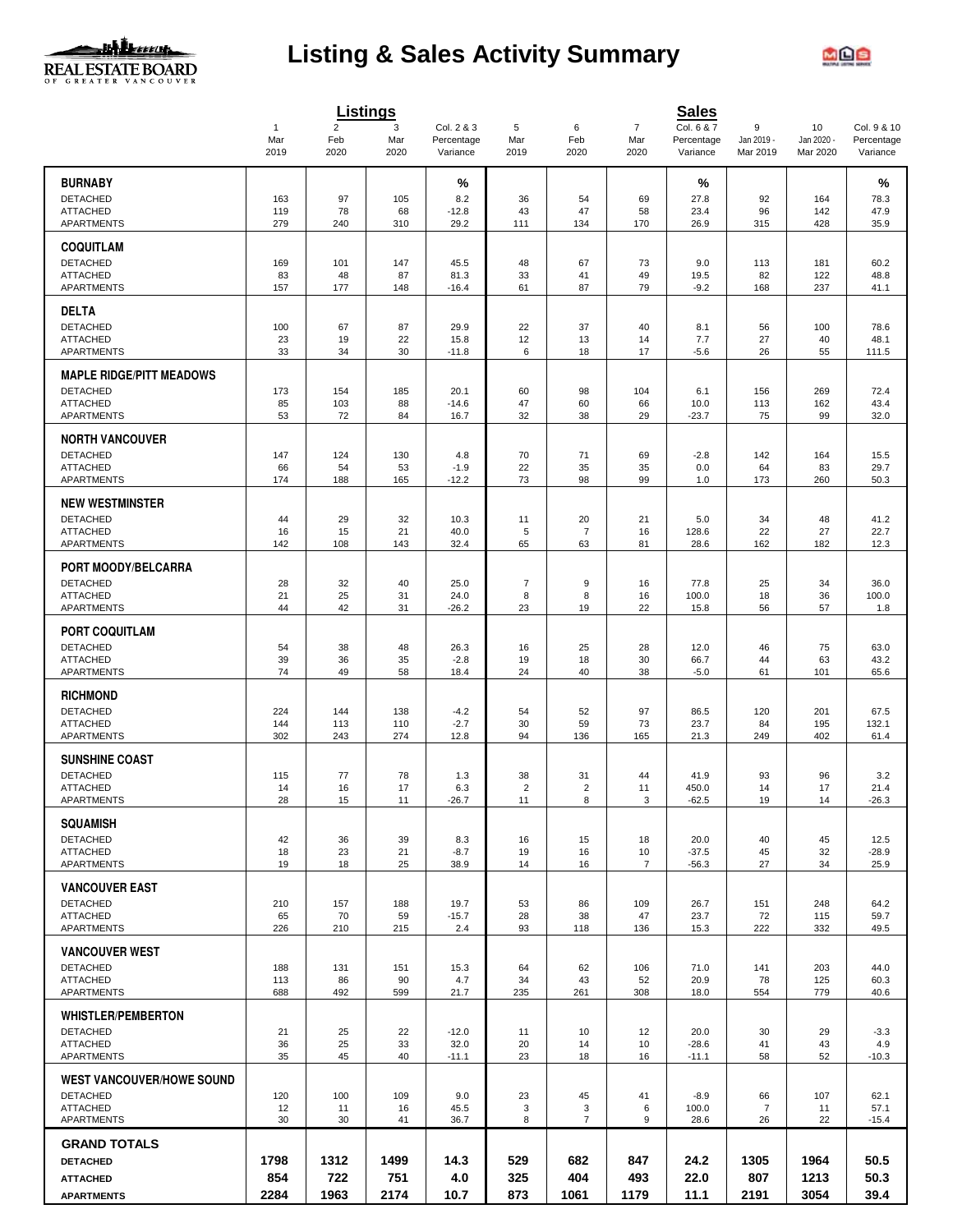

# **Listing & Sales Activity Summary**



|                                      |                  |                               | <b>Listings</b>  |                                      |                      |                     |                               | <b>Sales</b>                         |                             |                              |                                       |
|--------------------------------------|------------------|-------------------------------|------------------|--------------------------------------|----------------------|---------------------|-------------------------------|--------------------------------------|-----------------------------|------------------------------|---------------------------------------|
|                                      | 1<br>Mar<br>2019 | $\overline{2}$<br>Feb<br>2020 | 3<br>Mar<br>2020 | Col. 2 & 3<br>Percentage<br>Variance | 5<br>Mar<br>2019     | 6<br>Feb<br>2020    | $\overline{7}$<br>Mar<br>2020 | Col. 6 & 7<br>Percentage<br>Variance | 9<br>Jan 2019 -<br>Mar 2019 | 10<br>Jan 2020 -<br>Mar 2020 | Col. 9 & 10<br>Percentage<br>Variance |
| <b>BURNABY</b>                       |                  |                               |                  |                                      |                      |                     |                               |                                      |                             |                              | %                                     |
| <b>DETACHED</b>                      |                  |                               | 105              | %                                    |                      |                     |                               | %                                    |                             |                              |                                       |
| <b>ATTACHED</b>                      | 163<br>119       | 97<br>78                      | 68               | 8.2<br>$-12.8$                       | 36<br>43             | 54<br>47            | 69<br>58                      | 27.8<br>23.4                         | 92<br>96                    | 164<br>142                   | 78.3<br>47.9                          |
| <b>APARTMENTS</b>                    | 279              | 240                           | 310              | 29.2                                 | 111                  | 134                 | 170                           | 26.9                                 | 315                         | 428                          | 35.9                                  |
| <b>COQUITLAM</b>                     |                  |                               |                  |                                      |                      |                     |                               |                                      |                             |                              |                                       |
| <b>DETACHED</b>                      | 169              | 101                           | 147              | 45.5                                 | 48                   | 67                  | 73                            | 9.0                                  | 113                         | 181                          | 60.2                                  |
| <b>ATTACHED</b><br><b>APARTMENTS</b> | 83<br>157        | 48<br>177                     | 87<br>148        | 81.3<br>$-16.4$                      | 33<br>61             | 41<br>87            | 49<br>79                      | 19.5<br>$-9.2$                       | 82<br>168                   | 122<br>237                   | 48.8<br>41.1                          |
| <b>DELTA</b>                         |                  |                               |                  |                                      |                      |                     |                               |                                      |                             |                              |                                       |
| <b>DETACHED</b>                      | 100              | 67                            | 87               | 29.9                                 | 22                   | 37                  | 40                            | 8.1                                  | 56                          | 100                          | 78.6                                  |
| <b>ATTACHED</b><br>APARTMENTS        | 23<br>33         | 19<br>34                      | 22<br>30         | 15.8<br>$-11.8$                      | 12<br>6              | 13<br>18            | 14<br>17                      | 7.7<br>$-5.6$                        | 27<br>26                    | 40<br>55                     | 48.1<br>111.5                         |
| <b>MAPLE RIDGE/PITT MEADOWS</b>      |                  |                               |                  |                                      |                      |                     |                               |                                      |                             |                              |                                       |
| <b>DETACHED</b>                      | 173              | 154                           | 185              | 20.1                                 | 60                   | 98                  | 104                           | 6.1                                  | 156                         | 269                          | 72.4                                  |
| <b>ATTACHED</b>                      | 85               | 103                           | 88               | $-14.6$                              | 47                   | 60                  | 66                            | 10.0                                 | 113                         | 162                          | 43.4                                  |
| <b>APARTMENTS</b>                    | 53               | 72                            | 84               | 16.7                                 | 32                   | 38                  | 29                            | $-23.7$                              | 75                          | 99                           | 32.0                                  |
| <b>NORTH VANCOUVER</b>               |                  |                               |                  |                                      |                      |                     |                               |                                      |                             |                              |                                       |
| <b>DETACHED</b><br><b>ATTACHED</b>   | 147<br>66        | 124<br>54                     | 130<br>53        | 4.8<br>$-1.9$                        | 70<br>22             | 71<br>35            | 69<br>35                      | $-2.8$<br>0.0                        | 142<br>64                   | 164<br>83                    | 15.5<br>29.7                          |
| APARTMENTS                           | 174              | 188                           | 165              | $-12.2$                              | 73                   | 98                  | 99                            | 1.0                                  | 173                         | 260                          | 50.3                                  |
| <b>NEW WESTMINSTER</b>               |                  |                               |                  |                                      |                      |                     |                               |                                      |                             |                              |                                       |
| <b>DETACHED</b>                      | 44               | 29                            | 32               | 10.3                                 | 11                   | 20                  | 21                            | 5.0                                  | 34                          | 48                           | 41.2                                  |
| <b>ATTACHED</b>                      | 16               | 15                            | 21               | 40.0                                 | $\sqrt{5}$           | $\overline{7}$      | 16                            | 128.6                                | 22                          | 27                           | 22.7                                  |
| <b>APARTMENTS</b>                    | 142              | 108                           | 143              | 32.4                                 | 65                   | 63                  | 81                            | 28.6                                 | 162                         | 182                          | 12.3                                  |
| PORT MOODY/BELCARRA                  |                  |                               |                  |                                      |                      |                     |                               |                                      |                             |                              |                                       |
| <b>DETACHED</b><br><b>ATTACHED</b>   | 28<br>21         | 32<br>25                      | 40<br>31         | 25.0<br>24.0                         | $\overline{7}$<br>8  | 9<br>8              | 16<br>16                      | 77.8<br>100.0                        | 25<br>18                    | 34<br>36                     | 36.0<br>100.0                         |
| APARTMENTS                           | 44               | 42                            | 31               | $-26.2$                              | 23                   | 19                  | 22                            | 15.8                                 | 56                          | 57                           | 1.8                                   |
| <b>PORT COQUITLAM</b>                |                  |                               |                  |                                      |                      |                     |                               |                                      |                             |                              |                                       |
| <b>DETACHED</b>                      | 54               | 38                            | 48               | 26.3                                 | 16                   | 25                  | 28                            | 12.0                                 | 46                          | 75                           | 63.0                                  |
| <b>ATTACHED</b>                      | 39               | 36                            | 35               | $-2.8$                               | 19                   | 18                  | 30                            | 66.7                                 | 44                          | 63                           | 43.2                                  |
| <b>APARTMENTS</b>                    | 74               | 49                            | 58               | 18.4                                 | 24                   | 40                  | 38                            | $-5.0$                               | 61                          | 101                          | 65.6                                  |
| <b>RICHMOND</b><br><b>DETACHED</b>   |                  |                               |                  |                                      |                      |                     |                               |                                      |                             |                              |                                       |
| <b>ATTACHED</b>                      | 224<br>144       | 144<br>113                    | 138<br>110       | $-4.2$<br>$-2.7$                     | 54<br>30             | 52<br>59            | 97<br>73                      | 86.5<br>23.7                         | 120<br>84                   | 201<br>195                   | 67.5<br>132.1                         |
| APARTMENTS                           | 302              | 243                           | 274              | 12.8                                 | 94                   | 136                 | 165                           | 21.3                                 | 249                         | 402                          | 61.4                                  |
| <b>SUNSHINE COAST</b>                |                  |                               |                  |                                      |                      |                     |                               |                                      |                             |                              |                                       |
| <b>DETACHED</b>                      | 115              | 77                            | 78               | 1.3                                  | 38                   | 31                  | 44                            | 41.9                                 | 93                          | 96                           | 3.2                                   |
| <b>ATTACHED</b><br><b>APARTMENTS</b> | 14<br>28         | 16<br>15                      | 17<br>11         | 6.3<br>$-26.7$                       | $\overline{2}$<br>11 | $\overline{2}$<br>8 | 11<br>3                       | 450.0<br>$-62.5$                     | 14<br>19                    | 17<br>14                     | 21.4<br>$-26.3$                       |
| <b>SQUAMISH</b>                      |                  |                               |                  |                                      |                      |                     |                               |                                      |                             |                              |                                       |
| <b>DETACHED</b>                      | 42               | 36                            | 39               | 8.3                                  | 16                   | 15                  | 18                            | 20.0                                 | 40                          | 45                           | 12.5                                  |
| <b>ATTACHED</b>                      | 18               | 23                            | 21               | $-8.7$                               | 19                   | 16                  | 10                            | $-37.5$                              | 45                          | 32                           | $-28.9$                               |
| <b>APARTMENTS</b>                    | 19               | 18                            | 25               | 38.9                                 | 14                   | 16                  | 7                             | $-56.3$                              | 27                          | 34                           | 25.9                                  |
| <b>VANCOUVER EAST</b>                |                  |                               |                  |                                      |                      |                     |                               |                                      |                             |                              |                                       |
| <b>DETACHED</b><br><b>ATTACHED</b>   | 210<br>65        | 157<br>70                     | 188<br>59        | 19.7<br>$-15.7$                      | 53<br>28             | 86<br>38            | 109<br>47                     | 26.7<br>23.7                         | 151<br>72                   | 248<br>115                   | 64.2<br>59.7                          |
| APARTMENTS                           | 226              | 210                           | 215              | 2.4                                  | 93                   | 118                 | 136                           | 15.3                                 | 222                         | 332                          | 49.5                                  |
| <b>VANCOUVER WEST</b>                |                  |                               |                  |                                      |                      |                     |                               |                                      |                             |                              |                                       |
| <b>DETACHED</b>                      | 188              | 131                           | 151              | 15.3                                 | 64                   | 62                  | 106                           | 71.0                                 | 141                         | 203                          | 44.0                                  |
| <b>ATTACHED</b><br><b>APARTMENTS</b> | 113<br>688       | 86<br>492                     | 90<br>599        | 4.7<br>21.7                          | 34<br>235            | 43<br>261           | 52<br>308                     | 20.9<br>18.0                         | 78<br>554                   | 125<br>779                   | 60.3<br>40.6                          |
| <b>WHISTLER/PEMBERTON</b>            |                  |                               |                  |                                      |                      |                     |                               |                                      |                             |                              |                                       |
| <b>DETACHED</b>                      | 21               | 25                            | 22               | $-12.0$                              | 11                   | 10                  | 12                            | 20.0                                 | 30                          | 29                           | $-3.3$                                |
| <b>ATTACHED</b>                      | 36               | 25                            | 33               | 32.0                                 | 20                   | 14                  | 10                            | $-28.6$                              | 41                          | 43                           | 4.9                                   |
| APARTMENTS                           | 35               | 45                            | 40               | $-11.1$                              | 23                   | 18                  | 16                            | $-11.1$                              | 58                          | 52                           | $-10.3$                               |
| <b>WEST VANCOUVER/HOWE SOUND</b>     |                  |                               |                  |                                      |                      |                     |                               |                                      |                             |                              |                                       |
| <b>DETACHED</b><br><b>ATTACHED</b>   | 120<br>12        | 100<br>11                     | 109<br>16        | 9.0<br>45.5                          | 23<br>3              | 45<br>3             | 41<br>6                       | $-8.9$<br>100.0                      | 66<br>7                     | 107<br>11                    | 62.1<br>57.1                          |
| <b>APARTMENTS</b>                    | 30               | 30                            | 41               | 36.7                                 | 8                    | $\overline{7}$      | 9                             | 28.6                                 | 26                          | 22                           | $-15.4$                               |
| <b>GRAND TOTALS</b>                  |                  |                               |                  |                                      |                      |                     |                               |                                      |                             |                              |                                       |
| <b>DETACHED</b>                      | 1798             | 1312                          | 1499             | 14.3                                 | 529                  | 682                 | 847                           | 24.2                                 | 1305                        | 1964                         | 50.5                                  |
| <b>ATTACHED</b>                      | 854              | 722                           | 751              | 4.0                                  | 325                  | 404                 | 493                           | 22.0                                 | 807                         | 1213                         | 50.3                                  |
| <b>APARTMENTS</b>                    | 2284             | 1963                          | 2174             | 10.7                                 | 873                  | 1061                | 1179                          | 11.1                                 | 2191                        | 3054                         | 39.4                                  |